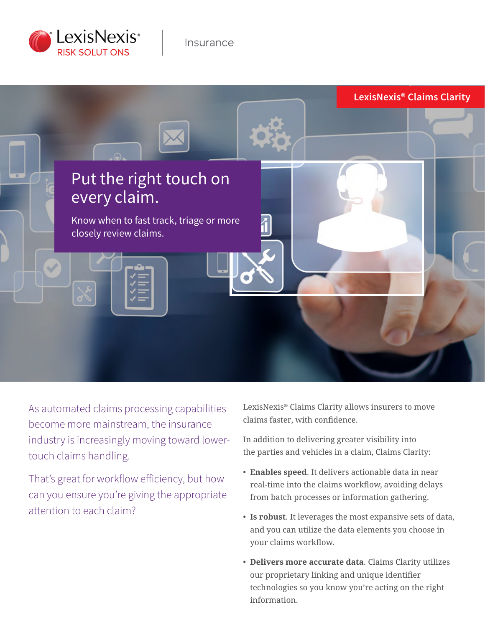



As automated claims processing capabilities become more mainstream, the insurance industry is increasingly moving toward lowertouch claims handling.

That's great for workflow efficiency, but how can you ensure you're giving the appropriate attention to each claim?

LexisNexis® Claims Clarity allows insurers to move claims faster, with confidence.

In addition to delivering greater visibility into the parties and vehicles in a claim, Claims Clarity:

- **Enables speed**. It delivers actionable data in near real-time into the claims workflow, avoiding delays from batch processes or information gathering.
- **Is robust**. It leverages the most expansive sets of data, and you can utilize the data elements you choose in your claims workflow.
- **Delivers more accurate data**. Claims Clarity utilizes our proprietary linking and unique identifier technologies so you know you're acting on the right information.